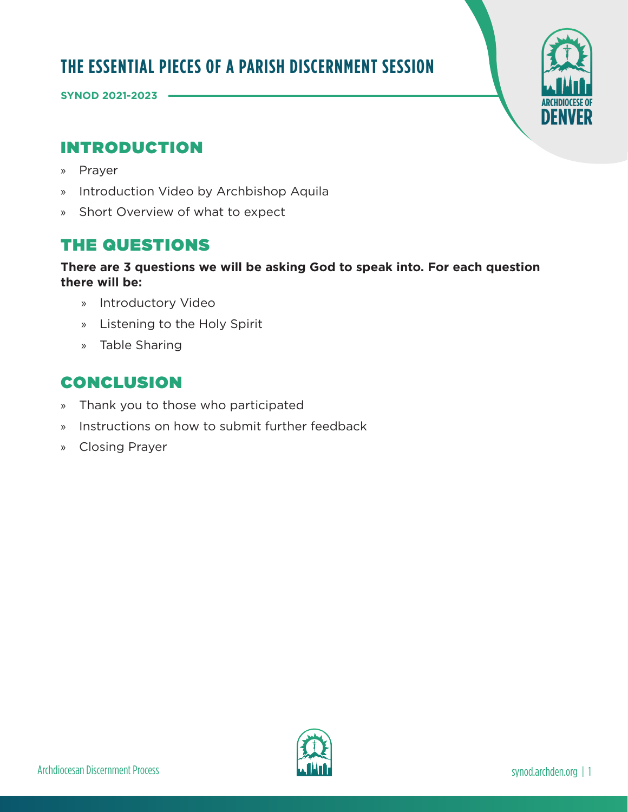# **THE ESSENTIAL PIECES OF A PARISH DISCERNMENT SESSION**

**SYNOD 2021-2023** 

# INTRODUCTION

- » Prayer
- » Introduction Video by Archbishop Aquila
- » Short Overview of what to expect

# THE QUESTIONS

### **There are 3 questions we will be asking God to speak into. For each question there will be:**

- » Introductory Video
- » Listening to the Holy Spirit
- » Table Sharing

# CONCLUSION

- » Thank you to those who participated
- » Instructions on how to submit further feedback
- » Closing Prayer

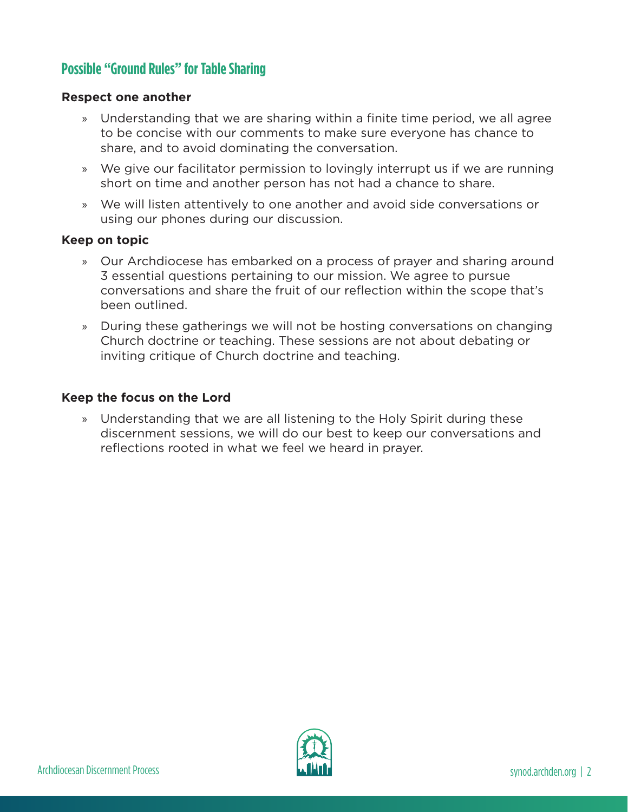## **Possible "Ground Rules" for Table Sharing**

#### **Respect one another**

- » Understanding that we are sharing within a finite time period, we all agree to be concise with our comments to make sure everyone has chance to share, and to avoid dominating the conversation.
- » We give our facilitator permission to lovingly interrupt us if we are running short on time and another person has not had a chance to share.
- » We will listen attentively to one another and avoid side conversations or using our phones during our discussion.

#### **Keep on topic**

- » Our Archdiocese has embarked on a process of prayer and sharing around 3 essential questions pertaining to our mission. We agree to pursue conversations and share the fruit of our reflection within the scope that's been outlined.
- » During these gatherings we will not be hosting conversations on changing Church doctrine or teaching. These sessions are not about debating or inviting critique of Church doctrine and teaching.

#### **Keep the focus on the Lord**

» Understanding that we are all listening to the Holy Spirit during these discernment sessions, we will do our best to keep our conversations and reflections rooted in what we feel we heard in prayer.

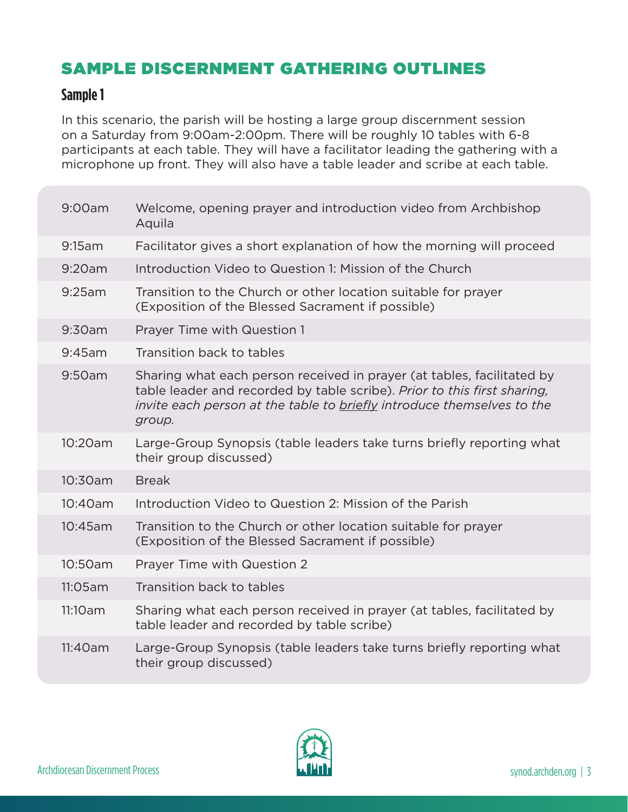# SAMPLE DISCERNMENT GATHERING OUTLINES

## **Sample 1**

In this scenario, the parish will be hosting a large group discernment session on a Saturday from 9:00am-2:00pm. There will be roughly 10 tables with 6-8 participants at each table. They will have a facilitator leading the gathering with a microphone up front. They will also have a table leader and scribe at each table.

| 9:00am  | Welcome, opening prayer and introduction video from Archbishop<br>Aquila                                                                                                                                                               |
|---------|----------------------------------------------------------------------------------------------------------------------------------------------------------------------------------------------------------------------------------------|
| 9:15am  | Facilitator gives a short explanation of how the morning will proceed                                                                                                                                                                  |
| 9:20am  | Introduction Video to Question 1: Mission of the Church                                                                                                                                                                                |
| 9:25am  | Transition to the Church or other location suitable for prayer<br>(Exposition of the Blessed Sacrament if possible)                                                                                                                    |
| 9:30am  | Prayer Time with Question 1                                                                                                                                                                                                            |
| 9:45am  | Transition back to tables                                                                                                                                                                                                              |
| 9:50am  | Sharing what each person received in prayer (at tables, facilitated by<br>table leader and recorded by table scribe). Prior to this first sharing,<br>invite each person at the table to briefly introduce themselves to the<br>group. |
| 10:20am | Large-Group Synopsis (table leaders take turns briefly reporting what<br>their group discussed)                                                                                                                                        |
| 10:30am | <b>Break</b>                                                                                                                                                                                                                           |
| 10:40am | Introduction Video to Question 2: Mission of the Parish                                                                                                                                                                                |
| 10:45am | Transition to the Church or other location suitable for prayer<br>(Exposition of the Blessed Sacrament if possible)                                                                                                                    |
| 10:50am | Prayer Time with Question 2                                                                                                                                                                                                            |
| 11:05am | Transition back to tables                                                                                                                                                                                                              |
| 11:10am | Sharing what each person received in prayer (at tables, facilitated by<br>table leader and recorded by table scribe)                                                                                                                   |
| 11:40am | Large-Group Synopsis (table leaders take turns briefly reporting what<br>their group discussed)                                                                                                                                        |

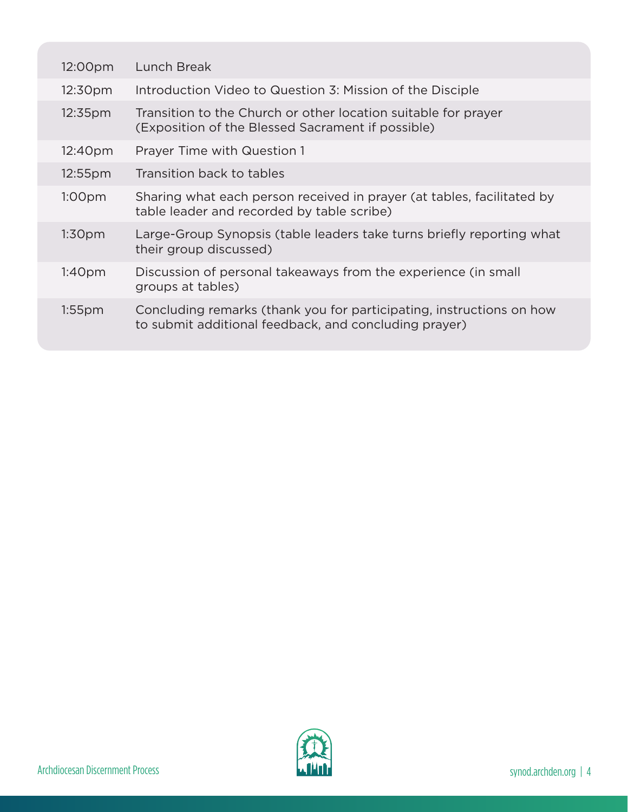| 12:00pm             | Lunch Break                                                                                                                   |
|---------------------|-------------------------------------------------------------------------------------------------------------------------------|
| 12:30pm             | Introduction Video to Question 3: Mission of the Disciple                                                                     |
| 12:35 <sub>pm</sub> | Transition to the Church or other location suitable for prayer<br>(Exposition of the Blessed Sacrament if possible)           |
| 12:40 <sub>pm</sub> | <b>Prayer Time with Question 1</b>                                                                                            |
| $12:55$ pm          | Transition back to tables                                                                                                     |
| 1:00 <sub>pm</sub>  | Sharing what each person received in prayer (at tables, facilitated by<br>table leader and recorded by table scribe)          |
| 1:30 <sub>pm</sub>  | Large-Group Synopsis (table leaders take turns briefly reporting what<br>their group discussed)                               |
| 1:40 <sub>pm</sub>  | Discussion of personal takeaways from the experience (in small<br>groups at tables)                                           |
| $1:55$ pm           | Concluding remarks (thank you for participating, instructions on how<br>to submit additional feedback, and concluding prayer) |

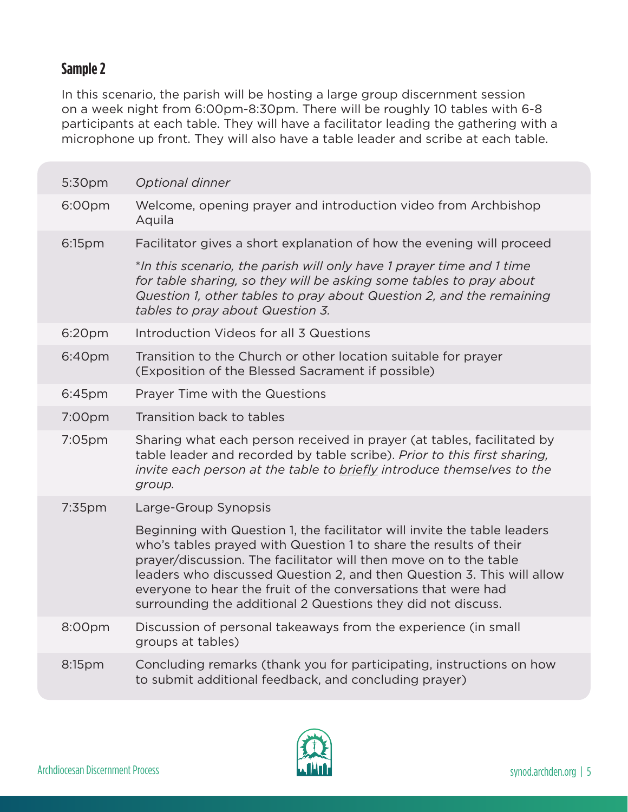## **Sample 2**

In this scenario, the parish will be hosting a large group discernment session on a week night from 6:00pm-8:30pm. There will be roughly 10 tables with 6-8 participants at each table. They will have a facilitator leading the gathering with a microphone up front. They will also have a table leader and scribe at each table.

| 5:30pm    | Optional dinner                                                                                                                                                                                                                                                                                                                                                                                                               |
|-----------|-------------------------------------------------------------------------------------------------------------------------------------------------------------------------------------------------------------------------------------------------------------------------------------------------------------------------------------------------------------------------------------------------------------------------------|
| 6:00pm    | Welcome, opening prayer and introduction video from Archbishop<br>Aquila                                                                                                                                                                                                                                                                                                                                                      |
| 6:15pm    | Facilitator gives a short explanation of how the evening will proceed                                                                                                                                                                                                                                                                                                                                                         |
|           | *In this scenario, the parish will only have 1 prayer time and 1 time<br>for table sharing, so they will be asking some tables to pray about<br>Question 1, other tables to pray about Question 2, and the remaining<br>tables to pray about Question 3.                                                                                                                                                                      |
| 6:20pm    | Introduction Videos for all 3 Questions                                                                                                                                                                                                                                                                                                                                                                                       |
| 6:40pm    | Transition to the Church or other location suitable for prayer<br>(Exposition of the Blessed Sacrament if possible)                                                                                                                                                                                                                                                                                                           |
| 6:45pm    | Prayer Time with the Questions                                                                                                                                                                                                                                                                                                                                                                                                |
| 7:00pm    | Transition back to tables                                                                                                                                                                                                                                                                                                                                                                                                     |
| 7:05pm    | Sharing what each person received in prayer (at tables, facilitated by<br>table leader and recorded by table scribe). Prior to this first sharing,<br>invite each person at the table to <b>briefly</b> introduce themselves to the<br>group.                                                                                                                                                                                 |
| $7:35$ pm | Large-Group Synopsis                                                                                                                                                                                                                                                                                                                                                                                                          |
|           | Beginning with Question 1, the facilitator will invite the table leaders<br>who's tables prayed with Question 1 to share the results of their<br>prayer/discussion. The facilitator will then move on to the table<br>leaders who discussed Question 2, and then Question 3. This will allow<br>everyone to hear the fruit of the conversations that were had<br>surrounding the additional 2 Questions they did not discuss. |
| 8:00pm    | Discussion of personal takeaways from the experience (in small<br>groups at tables)                                                                                                                                                                                                                                                                                                                                           |
| 8:15pm    | Concluding remarks (thank you for participating, instructions on how<br>to submit additional feedback, and concluding prayer)                                                                                                                                                                                                                                                                                                 |

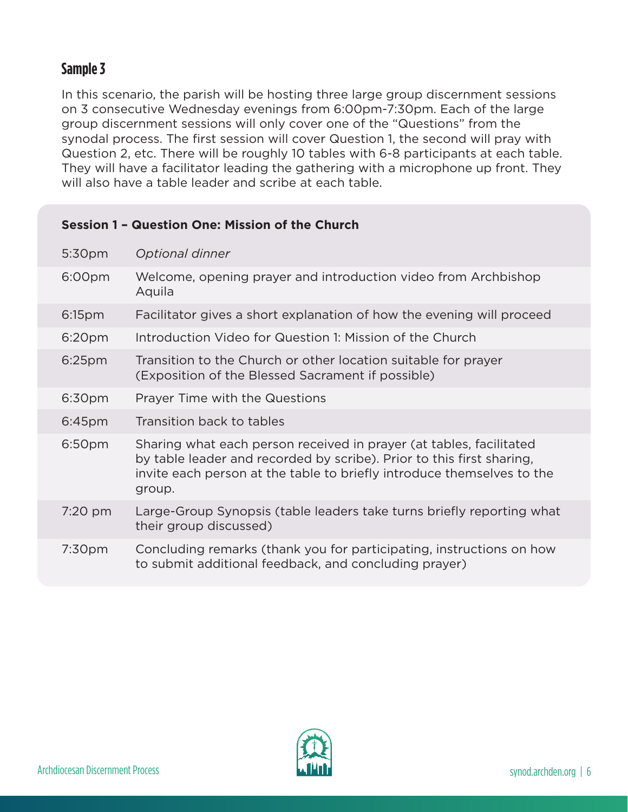## **Sample 3**

In this scenario, the parish will be hosting three large group discernment sessions on 3 consecutive Wednesday evenings from 6:00pm-7:30pm. Each of the large group discernment sessions will only cover one of the "Questions" from the synodal process. The first session will cover Question 1, the second will pray with Question 2, etc. There will be roughly 10 tables with 6-8 participants at each table. They will have a facilitator leading the gathering with a microphone up front. They will also have a table leader and scribe at each table.

### **Session 1 – Question One: Mission of the Church**

| 5:30pm             | Optional dinner                                                                                                                                                                                                                  |
|--------------------|----------------------------------------------------------------------------------------------------------------------------------------------------------------------------------------------------------------------------------|
| 6:00pm             | Welcome, opening prayer and introduction video from Archbishop<br>Aquila                                                                                                                                                         |
| 6:15 <sub>pm</sub> | Facilitator gives a short explanation of how the evening will proceed                                                                                                                                                            |
| 6:20pm             | Introduction Video for Question 1: Mission of the Church                                                                                                                                                                         |
| $6:25$ pm          | Transition to the Church or other location suitable for prayer<br>(Exposition of the Blessed Sacrament if possible)                                                                                                              |
| 6:30pm             | Prayer Time with the Questions                                                                                                                                                                                                   |
| 6:45 <sub>pm</sub> | Transition back to tables                                                                                                                                                                                                        |
| 6:50pm             | Sharing what each person received in prayer (at tables, facilitated<br>by table leader and recorded by scribe). Prior to this first sharing,<br>invite each person at the table to briefly introduce themselves to the<br>group. |
| 7:20 pm            | Large-Group Synopsis (table leaders take turns briefly reporting what<br>their group discussed)                                                                                                                                  |
| 7:30 <sub>pm</sub> | Concluding remarks (thank you for participating, instructions on how<br>to submit additional feedback, and concluding prayer)                                                                                                    |

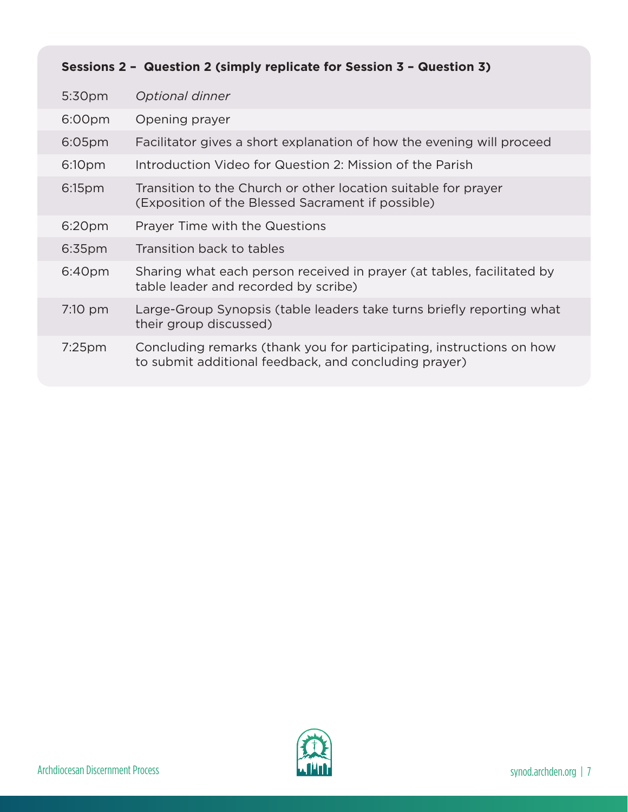| Sessions 2 - Question 2 (simply replicate for Session 3 - Question 3) |                                                                                                                               |  |
|-----------------------------------------------------------------------|-------------------------------------------------------------------------------------------------------------------------------|--|
| 5:30 <sub>pm</sub>                                                    | Optional dinner                                                                                                               |  |
| 6:00pm                                                                | Opening prayer                                                                                                                |  |
| $6:05$ pm                                                             | Facilitator gives a short explanation of how the evening will proceed                                                         |  |
| 6:10pm                                                                | Introduction Video for Question 2: Mission of the Parish                                                                      |  |
| 6:15 <sub>pm</sub>                                                    | Transition to the Church or other location suitable for prayer<br>(Exposition of the Blessed Sacrament if possible)           |  |
| 6:20 <sub>pm</sub>                                                    | Prayer Time with the Questions                                                                                                |  |
| 6:35pm                                                                | Transition back to tables                                                                                                     |  |
| 6:40pm                                                                | Sharing what each person received in prayer (at tables, facilitated by<br>table leader and recorded by scribe)                |  |
| $7:10 \text{ pm}$                                                     | Large-Group Synopsis (table leaders take turns briefly reporting what<br>their group discussed)                               |  |
| $7:25$ pm                                                             | Concluding remarks (thank you for participating, instructions on how<br>to submit additional feedback, and concluding prayer) |  |